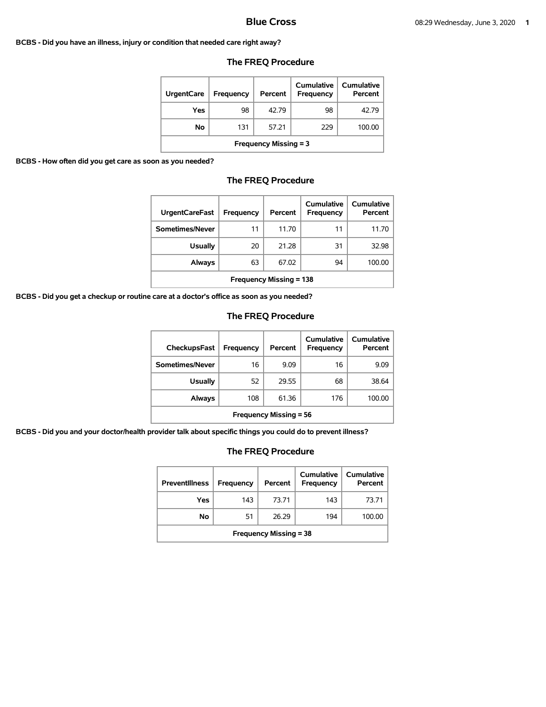#### **BCBS - Did you have an illness, injury or condition that needed care right away?**

| <b>UrgentCare</b>            | Frequency | Percent | Cumulative<br><b>Frequency</b> | Cumulative<br>Percent |  |
|------------------------------|-----------|---------|--------------------------------|-----------------------|--|
| Yes                          | 98        | 4279    | 98                             | 42.79                 |  |
| No                           | 131       | 57.21   | 229                            | 100.00                |  |
| <b>Frequency Missing = 3</b> |           |         |                                |                       |  |

## **The FREQ Procedure**

**BCBS - How often did you get care as soon as you needed?** 

# **The FREQ Procedure**

| <b>UrgentCareFast</b>          | Frequency | Percent | Cumulative<br><b>Frequency</b> | Cumulative<br>Percent |  |
|--------------------------------|-----------|---------|--------------------------------|-----------------------|--|
| Sometimes/Never                | 11        | 11.70   | 11                             | 11.70                 |  |
| <b>Usually</b>                 | 20        | 21.28   | 31                             | 32.98                 |  |
| Always                         | 63        | 67.02   | 94                             | 100.00                |  |
| <b>Frequency Missing = 138</b> |           |         |                                |                       |  |

**BCBS - Did you get a checkup or routine care at a doctor's office as soon as you needed?** 

## **The FREQ Procedure**

| <b>CheckupsFast</b>           | Frequency | Percent | Cumulative<br>Frequency | Cumulative<br>Percent |  |
|-------------------------------|-----------|---------|-------------------------|-----------------------|--|
| Sometimes/Never               | 16        | 9.09    | 16                      | 9.09                  |  |
| <b>Usually</b>                | 52        | 29.55   | 68                      | 38.64                 |  |
| Always                        | 108       | 61.36   | 176                     | 100.00                |  |
| <b>Frequency Missing = 56</b> |           |         |                         |                       |  |

**BCBS - Did you and your doctor/health provider talk about specific things you could do to prevent illness?** 

| <b>Preventillness</b>         | Frequency | Percent | Cumulative<br><b>Frequency</b> | Cumulative<br>Percent |
|-------------------------------|-----------|---------|--------------------------------|-----------------------|
| Yes                           | 143       | 73.71   | 143                            | 73.71                 |
| No                            | 51        | 26.29   | 194                            | 100.00                |
| <b>Frequency Missing = 38</b> |           |         |                                |                       |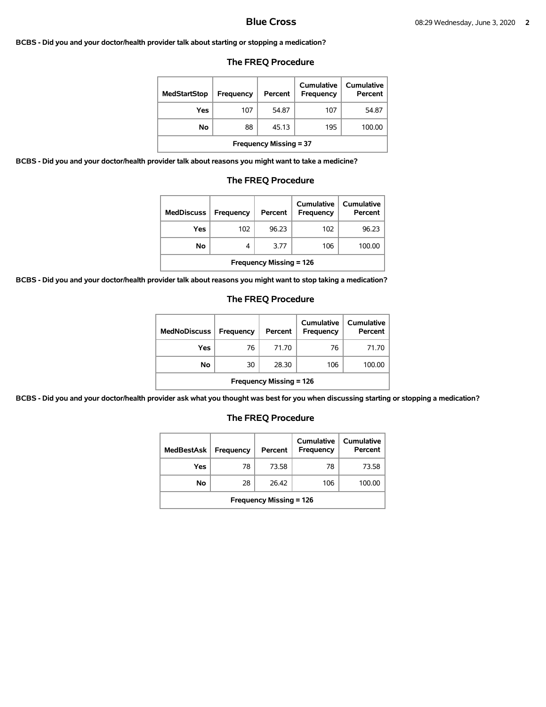#### **BCBS - Did you and your doctor/health provider talk about starting or stopping a medication?**

### **The FREQ Procedure**

| <b>MedStartStop</b>           | Frequency | Percent | Cumulative<br>Frequency | Cumulative<br>Percent |  |
|-------------------------------|-----------|---------|-------------------------|-----------------------|--|
| Yes                           | 107       | 54.87   | 107                     | 54.87                 |  |
| No                            | 88        | 45.13   | 195                     | 100.00                |  |
| <b>Frequency Missing = 37</b> |           |         |                         |                       |  |

**BCBS - Did you and your doctor/health provider talk about reasons you might want to take a medicine?** 

#### **The FREQ Procedure**

| <b>MedDiscuss</b>              | Frequency | Percent | Cumulative<br>Frequency | Cumulative<br>Percent |  |
|--------------------------------|-----------|---------|-------------------------|-----------------------|--|
| Yes                            | 102       | 96.23   | 102                     | 96.23                 |  |
| No                             | 4         | 3.77    | 106                     | 100.00                |  |
| <b>Frequency Missing = 126</b> |           |         |                         |                       |  |

**BCBS - Did you and your doctor/health provider talk about reasons you might want to stop taking a medication?** 

#### **The FREQ Procedure**

| <b>MedNoDiscuss</b>            | <b>Frequency</b> | Percent | Cumulative<br>Frequency | <b>Cumulative</b><br>Percent |  |
|--------------------------------|------------------|---------|-------------------------|------------------------------|--|
| Yes                            | 76               | 71.70   | 76                      | 71.70                        |  |
| No                             | 30               | 28.30   | 106                     | 100.00                       |  |
| <b>Frequency Missing = 126</b> |                  |         |                         |                              |  |

**BCBS - Did you and your doctor/health provider ask what you thought was best for you when discussing starting or stopping a medication?** 

| <b>MedBestAsk</b>              | Frequency | Percent | Cumulative<br><b>Frequency</b> | Cumulative<br>Percent |
|--------------------------------|-----------|---------|--------------------------------|-----------------------|
| Yes                            | 78        | 73.58   | 78                             | 73.58                 |
| No                             | 28        | 26.42   | 106                            | 100.00                |
| <b>Frequency Missing = 126</b> |           |         |                                |                       |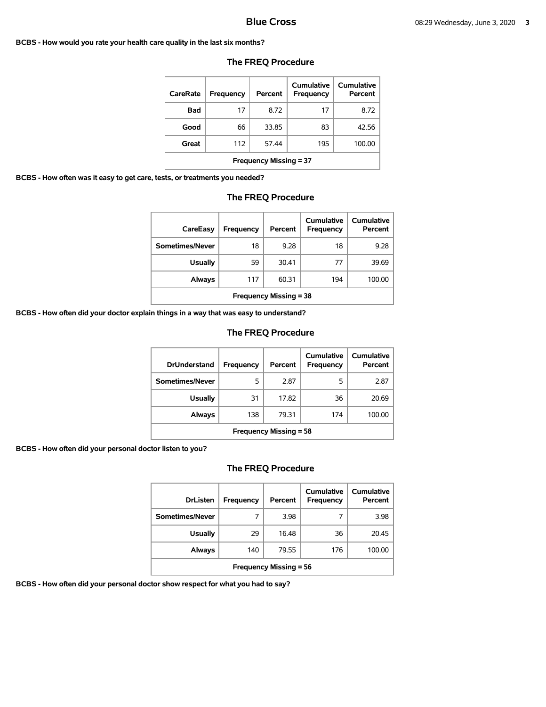#### **BCBS - How would you rate your health care quality in the last six months?**

| CareRate                      | Frequency | Percent | Cumulative<br>Frequency | Cumulative<br>Percent |  |
|-------------------------------|-----------|---------|-------------------------|-----------------------|--|
| Bad                           | 17        | 8.72    | 17                      | 8.72                  |  |
| Good                          | 66        | 33.85   | 83                      | 42.56                 |  |
| Great                         | 112       | 57.44   | 195                     | 100.00                |  |
| <b>Frequency Missing = 37</b> |           |         |                         |                       |  |

### **The FREQ Procedure**

**BCBS - How often was it easy to get care, tests, or treatments you needed?** 

## **The FREQ Procedure**

| CareEasy                      | Frequency | Percent | Cumulative<br>Frequency | Cumulative<br>Percent |  |
|-------------------------------|-----------|---------|-------------------------|-----------------------|--|
| Sometimes/Never               | 18        | 9.28    | 18                      | 9.28                  |  |
| <b>Usually</b>                | 59        | 30.41   | 77                      | 39.69                 |  |
| Always                        | 117       | 60.31   | 194                     | 100.00                |  |
| <b>Frequency Missing = 38</b> |           |         |                         |                       |  |

**BCBS - How often did your doctor explain things in a way that was easy to understand?** 

## **The FREQ Procedure**

| <b>DrUnderstand</b>           | Frequency | Percent | Cumulative<br>Frequency | Cumulative<br>Percent |  |
|-------------------------------|-----------|---------|-------------------------|-----------------------|--|
| Sometimes/Never               | 5         | 2.87    | 5                       | 2.87                  |  |
| <b>Usually</b>                | 31        | 17.82   | 36                      | 20.69                 |  |
| Always                        | 138       | 79.31   | 174                     | 100.00                |  |
| <b>Frequency Missing = 58</b> |           |         |                         |                       |  |

**BCBS - How often did your personal doctor listen to you?** 

# **The FREQ Procedure**

| <b>DrListen</b>               | Frequency | Percent | Cumulative<br>Frequency | Cumulative<br>Percent |  |
|-------------------------------|-----------|---------|-------------------------|-----------------------|--|
| Sometimes/Never               | 7         | 3.98    | 7                       | 3.98                  |  |
| <b>Usually</b>                | 29        | 16.48   | 36                      | 20.45                 |  |
| Always                        | 140       | 79.55   | 176                     | 100.00                |  |
| <b>Frequency Missing = 56</b> |           |         |                         |                       |  |

**BCBS - How often did your personal doctor show respect for what you had to say?**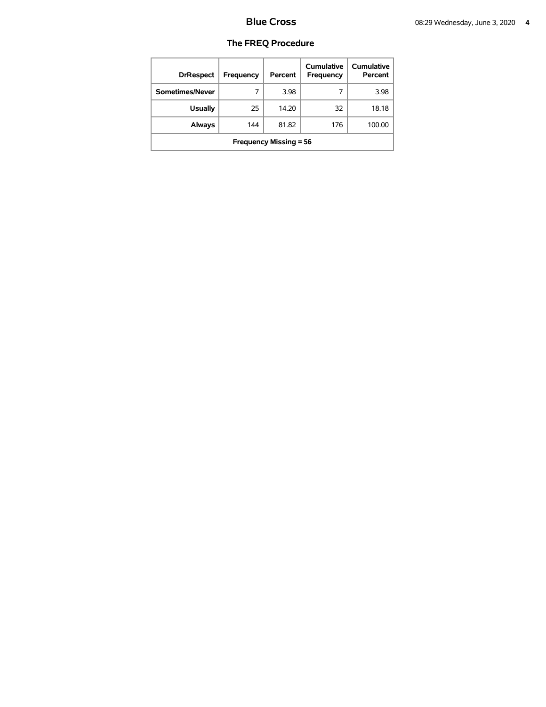| <b>DrRespect</b>              | Frequency | Percent | Cumulative<br>Frequency | Cumulative<br>Percent |  |
|-------------------------------|-----------|---------|-------------------------|-----------------------|--|
| Sometimes/Never               |           | 3.98    |                         | 3.98                  |  |
| <b>Usually</b>                | 25        | 14.20   | 32                      | 18.18                 |  |
| <b>Always</b>                 | 144       | 81.82   | 176                     | 100.00                |  |
| <b>Frequency Missing = 56</b> |           |         |                         |                       |  |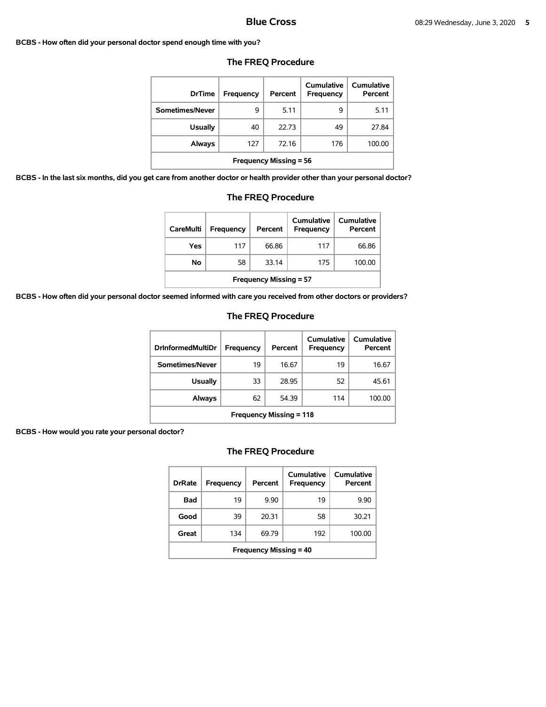#### **BCBS - How often did your personal doctor spend enough time with you?**

| <b>DrTime</b>                 | Frequency | Percent | Cumulative<br><b>Frequency</b> | Cumulative<br>Percent |  |
|-------------------------------|-----------|---------|--------------------------------|-----------------------|--|
| Sometimes/Never               | 9         | 5.11    | 9                              | 5.11                  |  |
| <b>Usually</b>                | 40        | 22.73   | 49                             | 27.84                 |  |
| <b>Always</b>                 | 127       | 72.16   | 176                            | 100.00                |  |
| <b>Frequency Missing = 56</b> |           |         |                                |                       |  |

# **The FREQ Procedure**

**BCBS - In the last six months, did you get care from another doctor or health provider other than your personal doctor?** 

| <b>Usually</b>                                                        | 40  | 22.73 | 49  | 27.84  |  |  |
|-----------------------------------------------------------------------|-----|-------|-----|--------|--|--|
| Always                                                                | 127 | 72.16 | 176 | 100.00 |  |  |
| <b>Frequency Missing = 56</b>                                         |     |       |     |        |  |  |
| are from another doctor or health provider other than your personal o |     |       |     |        |  |  |
| <b>The FREQ Procedure</b>                                             |     |       |     |        |  |  |

| <b>CareMulti</b>              | Frequency | Percent | Cumulative<br>Frequency | Cumulative<br>Percent |  |
|-------------------------------|-----------|---------|-------------------------|-----------------------|--|
| Yes                           | 117       | 66.86   | 117                     | 66.86                 |  |
| No                            | 58        | 33.14   | 175                     | 100.00                |  |
| <b>Frequency Missing = 57</b> |           |         |                         |                       |  |

**BCBS - How often did your personal doctor seemed informed with care you received from other doctors or providers?** 

## **The FREQ Procedure**

| <b>DrInformedMultiDr</b>               | <b>Frequency</b> | Percent | Cumulative<br><b>Frequency</b> | Cumulative<br>Percent |  |  |
|----------------------------------------|------------------|---------|--------------------------------|-----------------------|--|--|
| Sometimes/Never                        | 19               | 16.67   | 19                             | 16.67                 |  |  |
| Usually                                | 33               | 28.95   | 52                             | 45.61                 |  |  |
| 62<br>54.39<br>Always<br>100.00<br>114 |                  |         |                                |                       |  |  |
| <b>Frequency Missing = 118</b>         |                  |         |                                |                       |  |  |

**BCBS - How would you rate your personal doctor?** 

| <b>DrRate</b>                 | Frequency | Percent | Cumulative<br>Frequency | Cumulative<br>Percent |  |  |
|-------------------------------|-----------|---------|-------------------------|-----------------------|--|--|
| Bad                           | 19        | 9.90    | 19                      | 9.90                  |  |  |
| Good                          | 39        | 20.31   | 58                      | 30.21                 |  |  |
| Great                         | 134       | 69.79   | 192                     | 100.00                |  |  |
| <b>Frequency Missing = 40</b> |           |         |                         |                       |  |  |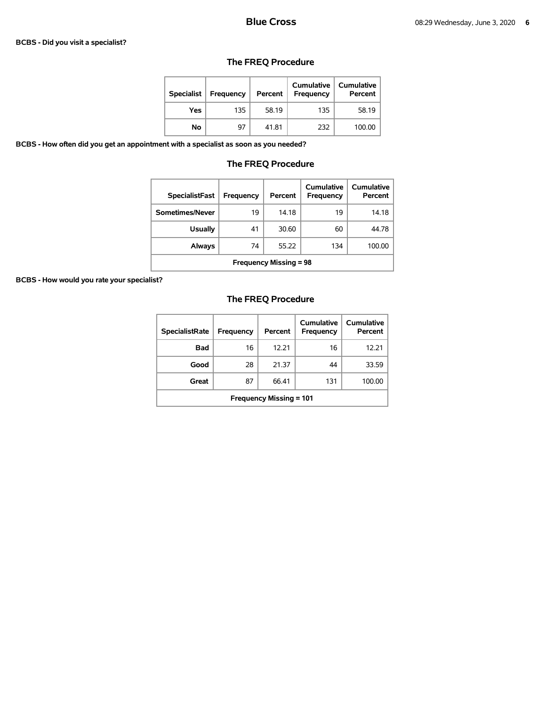#### **BCBS - Did you visit a specialist?**

# **The FREQ Procedure**

| <b>Specialist</b> | Frequency | Percent | <b>Cumulative</b><br>Frequency | Cumulative<br>Percent |
|-------------------|-----------|---------|--------------------------------|-----------------------|
| Yes               | 135       | 58.19   | 135                            | 58.19                 |
| No                | 97        | 41.81   | 232                            | 100.00                |

**BCBS - How often did you get an appointment with a specialist as soon as you needed?** 

# **The FREQ Procedure**

| <b>SpecialistFast</b>                  | Frequency | Percent | Cumulative<br>Frequency | Cumulative<br>Percent |  |  |
|----------------------------------------|-----------|---------|-------------------------|-----------------------|--|--|
| Sometimes/Never                        | 19        | 14.18   | 19                      | 14.18                 |  |  |
| <b>Usually</b>                         | 41        | 30.60   | 60                      | 44.78                 |  |  |
| 55.22<br>134<br>100.00<br>Always<br>74 |           |         |                         |                       |  |  |
| <b>Frequency Missing = 98</b>          |           |         |                         |                       |  |  |

**BCBS - How would you rate your specialist?** 

| <b>SpecialistRate</b>          | Frequency | Percent | Cumulative<br><b>Frequency</b> | Cumulative<br>Percent |  |
|--------------------------------|-----------|---------|--------------------------------|-----------------------|--|
| <b>Bad</b>                     | 16        | 12.21   | 16                             | 12.21                 |  |
| Good                           | 28        | 21.37   | 44                             | 33.59                 |  |
| Great                          | 87        | 66.41   | 131                            | 100.00                |  |
| <b>Frequency Missing = 101</b> |           |         |                                |                       |  |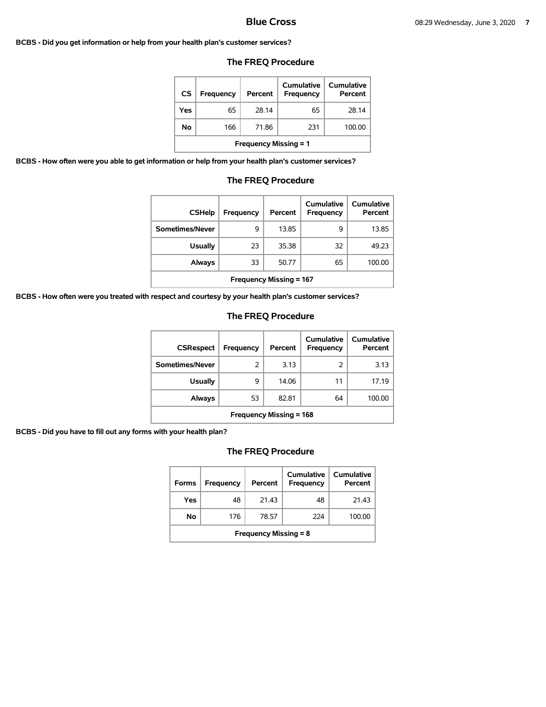#### **BCBS - Did you get information or help from your health plan's customer services?**

## **The FREQ Procedure**

| <b>CS</b> | <b>Frequency</b>             | Percent | Cumulative<br>Frequency | Cumulative<br>Percent |  |  |  |
|-----------|------------------------------|---------|-------------------------|-----------------------|--|--|--|
| Yes       | 65                           | 28.14   | 65                      | 28.14                 |  |  |  |
| No        | 166                          | 71.86   | 231                     | 100.00                |  |  |  |
|           | <b>Frequency Missing = 1</b> |         |                         |                       |  |  |  |

**BCBS - How often were you able to get information or help from your health plan's customer services?** 

### **The FREQ Procedure**

| <b>CSHelp</b>                  | Frequency | Percent | Cumulative<br><b>Frequency</b> | Cumulative<br>Percent |  |
|--------------------------------|-----------|---------|--------------------------------|-----------------------|--|
| Sometimes/Never                | 9         | 13.85   | 9                              | 13.85                 |  |
| <b>Usually</b>                 | 23        | 35.38   | 32                             | 49.23                 |  |
| Always                         | 33        | 50.77   | 65                             | 100.00                |  |
| <b>Frequency Missing = 167</b> |           |         |                                |                       |  |

**BCBS - How often were you treated with respect and courtesy by your health plan's customer services?** 

### **The FREQ Procedure**

| <b>CSRespect</b>                      | Frequency | Percent | Cumulative<br>Frequency | Cumulative<br>Percent |  |  |
|---------------------------------------|-----------|---------|-------------------------|-----------------------|--|--|
| Sometimes/Never                       | 2         | 3.13    | 2                       | 3.13                  |  |  |
| <b>Usually</b>                        | 9         | 14.06   | 11                      | 17.19                 |  |  |
| 82.81<br>53<br>64<br>100.00<br>Always |           |         |                         |                       |  |  |
| <b>Frequency Missing = 168</b>        |           |         |                         |                       |  |  |

**BCBS - Did you have to fill out any forms with your health plan?** 

| <b>Forms</b>                 | Frequency | Percent | Cumulative<br>Frequency | <b>Cumulative</b><br>Percent |  |
|------------------------------|-----------|---------|-------------------------|------------------------------|--|
| Yes                          | 48        | 21.43   | 48                      | 21.43                        |  |
| No                           | 176       | 78.57   | 224                     | 100.00                       |  |
| <b>Frequency Missing = 8</b> |           |         |                         |                              |  |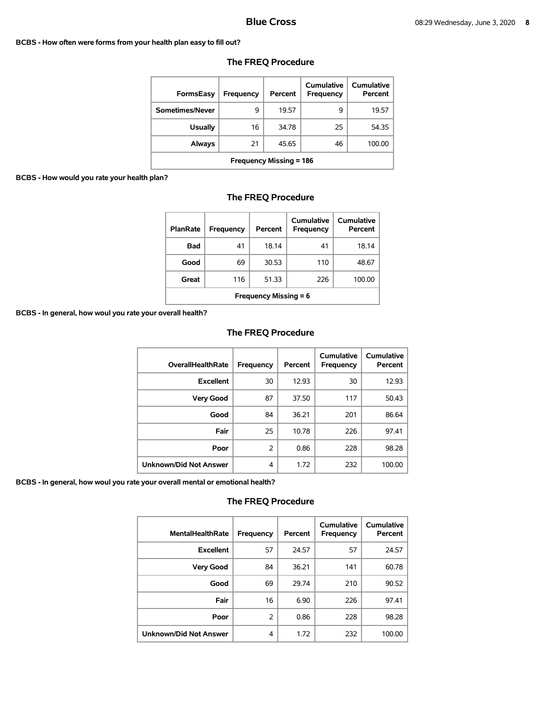#### **BCBS - How often were forms from your health plan easy to fill out?**

| <b>FormsEasy</b>               | Frequency | Percent | Cumulative<br>Frequency | Cumulative<br>Percent |  |
|--------------------------------|-----------|---------|-------------------------|-----------------------|--|
| Sometimes/Never                | 9         | 19.57   | 9                       | 19.57                 |  |
| <b>Usually</b>                 | 16        | 34.78   | 25                      | 54.35                 |  |
| Always                         | 21        | 45.65   | 46                      | 100.00                |  |
| <b>Frequency Missing = 186</b> |           |         |                         |                       |  |

# **The FREQ Procedure**

### **BCBS - How would you rate your health plan?**

# **The FREQ Procedure**

| <b>PlanRate</b>              | Frequency | Percent | Cumulative<br><b>Frequency</b> | Cumulative<br>Percent |  |
|------------------------------|-----------|---------|--------------------------------|-----------------------|--|
| <b>Bad</b>                   | 41        | 18.14   | 41                             | 18.14                 |  |
| Good                         | 69        | 30.53   | 110                            | 48.67                 |  |
| Great                        | 116       | 51.33   | 226                            | 100.00                |  |
| <b>Frequency Missing = 6</b> |           |         |                                |                       |  |

#### **BCBS - In general, how woul you rate your overall health?**

# **The FREQ Procedure**

| <b>OverallHealthRate</b>      | Frequency      | Percent | Cumulative<br>Frequency | Cumulative<br>Percent |
|-------------------------------|----------------|---------|-------------------------|-----------------------|
| <b>Excellent</b>              | 30             | 12.93   | 30                      | 12.93                 |
| <b>Very Good</b>              | 87             | 37.50   | 117                     | 50.43                 |
| Good                          | 84             | 36.21   | 201                     | 86.64                 |
| Fair                          | 25             | 10.78   | 226                     | 97.41                 |
| Poor                          | $\overline{2}$ | 0.86    | 228                     | 98.28                 |
| <b>Unknown/Did Not Answer</b> | 4              | 1.72    | 232                     | 100.00                |

**BCBS - In general, how woul you rate your overall mental or emotional health?** 

| <b>MentalHealthRate</b>       | Frequency     | Percent | Cumulative<br>Frequency | <b>Cumulative</b><br>Percent |
|-------------------------------|---------------|---------|-------------------------|------------------------------|
| <b>Excellent</b>              | 57            | 24.57   | 57                      | 24.57                        |
| <b>Very Good</b>              | 84            | 36.21   | 141                     | 60.78                        |
| Good                          | 69            | 29.74   | 210                     | 90.52                        |
| Fair                          | 16            | 6.90    | 226                     | 97.41                        |
| Poor                          | $\mathcal{P}$ | 0.86    | 228                     | 98.28                        |
| <b>Unknown/Did Not Answer</b> | 4             | 1.72    | 232                     | 100.00                       |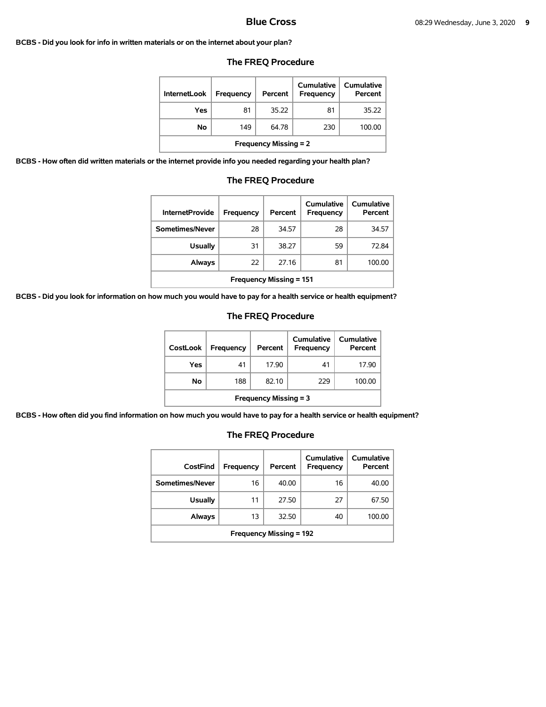#### **BCBS - Did you look for info in written materials or on the internet about your plan?**

| <b>InternetLook</b>          | Frequency | Percent | Cumulative<br>Frequency | Cumulative<br>Percent |  |
|------------------------------|-----------|---------|-------------------------|-----------------------|--|
| Yes                          | 81        | 35.22   | 81                      | 35.22                 |  |
| No                           | 149       | 64.78   | 230                     | 100.00                |  |
| <b>Frequency Missing = 2</b> |           |         |                         |                       |  |

#### **The FREQ Procedure**

**BCBS - How often did written materials or the internet provide info you needed regarding your health plan?** 

| <b>InternetProvide</b>         | Frequency | Percent | Cumulative<br>Frequency | Cumulative<br>Percent |  |
|--------------------------------|-----------|---------|-------------------------|-----------------------|--|
| Sometimes/Never                | 28        | 34.57   | 28                      | 34.57                 |  |
| <b>Usually</b>                 | 31        | 38.27   | 59                      | 72.84                 |  |
| Always                         | 22        | 27.16   | 81                      | 100.00                |  |
| <b>Frequency Missing = 151</b> |           |         |                         |                       |  |

# **The FREQ Procedure**

**BCBS - Did you look for information on how much you would have to pay for a health service or health equipment?** 

### **The FREQ Procedure**

| <b>CostLook</b>              | Frequency | Percent | Cumulative<br>Frequency | <b>Cumulative</b><br>Percent |  |
|------------------------------|-----------|---------|-------------------------|------------------------------|--|
| Yes                          | 41        | 17.90   | 41                      | 17.90                        |  |
| Νo                           | 188       | 82.10   | 229                     | 100.00                       |  |
| <b>Frequency Missing = 3</b> |           |         |                         |                              |  |

**BCBS - How often did you find information on how much you would have to pay for a health service or health equipment?** 

| CostFind                       | Frequency | Percent | Cumulative<br>Frequency | <b>Cumulative</b><br>Percent |  |
|--------------------------------|-----------|---------|-------------------------|------------------------------|--|
| Sometimes/Never                | 16        | 40.00   | 16                      | 40.00                        |  |
| <b>Usually</b>                 | 11        | 27.50   | 27                      | 67.50                        |  |
| Always                         | 13        | 32.50   | 40                      | 100.00                       |  |
| <b>Frequency Missing = 192</b> |           |         |                         |                              |  |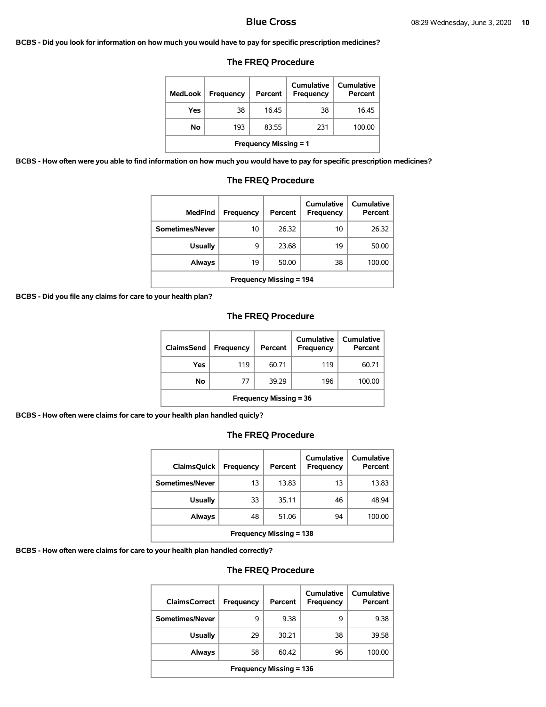#### **BCBS - Did you look for information on how much you would have to pay for specific prescription medicines?**

### **The FREQ Procedure**

| MedLook                      | <b>Frequency</b> | Percent | Cumulative<br><b>Frequency</b> | <b>Cumulative</b><br>Percent |  |
|------------------------------|------------------|---------|--------------------------------|------------------------------|--|
| Yes                          | 38               | 16.45   | 38                             | 16.45                        |  |
| No                           | 193              | 83.55   | 231                            | 100.00                       |  |
| <b>Frequency Missing = 1</b> |                  |         |                                |                              |  |

**BCBS - How often were you able to find information on how much you would have to pay for specific prescription medicines?** 

| MedFind                        | Frequency | Percent | Cumulative<br>Frequency | Cumulative<br>Percent |  |
|--------------------------------|-----------|---------|-------------------------|-----------------------|--|
| Sometimes/Never                | 10        | 26.32   | 10                      | 26.32                 |  |
| <b>Usually</b>                 | 9         | 23.68   | 19                      | 50.00                 |  |
| Always                         | 19        | 50.00   | 38                      | 100.00                |  |
| <b>Frequency Missing = 194</b> |           |         |                         |                       |  |

# **The FREQ Procedure**

**BCBS - Did you file any claims for care to your health plan?** 

## **The FREQ Procedure**

| ClaimsSend                    | <b>Frequency</b> | Percent | Cumulative<br><b>Frequency</b> | <b>Cumulative</b><br>Percent |  |
|-------------------------------|------------------|---------|--------------------------------|------------------------------|--|
| Yes                           | 119              | 60.71   | 119                            | 60.71                        |  |
| Νo                            | 77               | 39.29   | 196                            | 100.00                       |  |
| <b>Frequency Missing = 36</b> |                  |         |                                |                              |  |

**BCBS - How often were claims for care to your health plan handled quicly?** 

### **The FREQ Procedure**

| <b>ClaimsQuick</b>             | Frequency | Percent | Cumulative<br>Frequency | Cumulative<br>Percent |  |
|--------------------------------|-----------|---------|-------------------------|-----------------------|--|
| Sometimes/Never                | 13        | 13.83   | 13                      | 13.83                 |  |
| Usually                        | 33        | 35.11   | 46                      | 48.94                 |  |
| Always                         | 48        | 51.06   | 94                      | 100.00                |  |
| <b>Frequency Missing = 138</b> |           |         |                         |                       |  |

**BCBS - How often were claims for care to your health plan handled correctly?** 

| <b>ClaimsCorrect</b>           | <b>Frequency</b> | Percent | Cumulative<br>Frequency | Cumulative<br>Percent |  |
|--------------------------------|------------------|---------|-------------------------|-----------------------|--|
| Sometimes/Never                | 9                | 9.38    | 9                       | 9.38                  |  |
| <b>Usually</b>                 | 29               | 30.21   | 38                      | 39.58                 |  |
| Always                         | 58               | 60.42   | 96                      | 100.00                |  |
| <b>Frequency Missing = 136</b> |                  |         |                         |                       |  |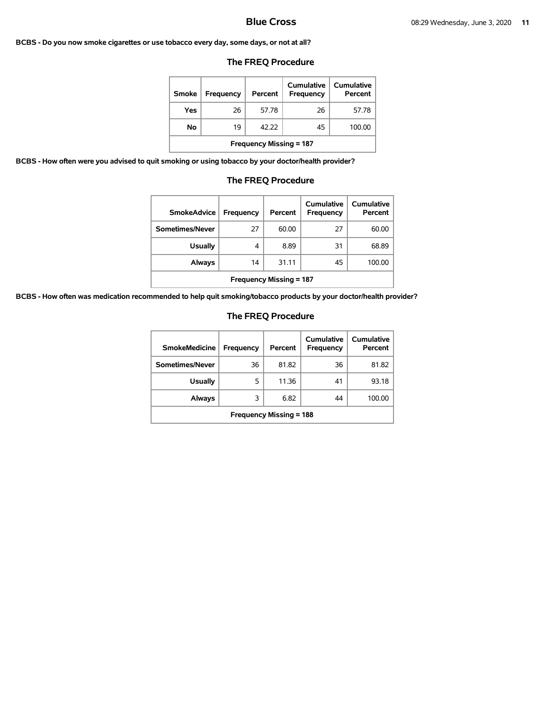#### **BCBS - Do you now smoke cigarettes or use tobacco every day, some days, or not at all?**

## **The FREQ Procedure**

| Smoke                          | <b>Frequency</b> | Percent | Cumulative<br>Frequency | Cumulative<br>Percent |  |
|--------------------------------|------------------|---------|-------------------------|-----------------------|--|
| Yes                            | 26               | 57.78   | 26                      | 57.78                 |  |
| No                             | 19               | 42.22   | 45                      | 100.00                |  |
| <b>Frequency Missing = 187</b> |                  |         |                         |                       |  |

**BCBS - How often were you advised to quit smoking or using tobacco by your doctor/health provider?** 

# **The FREQ Procedure**

| <b>SmokeAdvice</b>             | <b>Frequency</b> | Percent | Cumulative<br>Frequency | Cumulative<br>Percent |  |
|--------------------------------|------------------|---------|-------------------------|-----------------------|--|
| Sometimes/Never                | 27               | 60.00   | 27                      | 60.00                 |  |
| <b>Usually</b>                 | 4                | 8.89    | 31                      | 68.89                 |  |
| Always                         | 14               | 31.11   | 45                      | 100.00                |  |
| <b>Frequency Missing = 187</b> |                  |         |                         |                       |  |

**BCBS - How often was medication recommended to help quit smoking/tobacco products by your doctor/health provider?** 

| <b>SmokeMedicine</b>           | <b>Frequency</b> | Percent | Cumulative<br>Frequency | Cumulative<br>Percent |  |
|--------------------------------|------------------|---------|-------------------------|-----------------------|--|
| Sometimes/Never                | 36               | 81.82   | 36                      | 81.82                 |  |
| <b>Usually</b>                 | 5                | 11.36   | 41                      | 93.18                 |  |
| Always                         | 3                | 6.82    | 44                      | 100.00                |  |
| <b>Frequency Missing = 188</b> |                  |         |                         |                       |  |